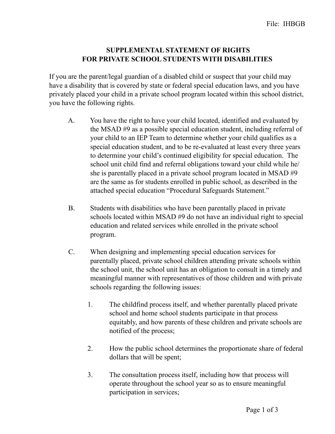## **SUPPLEMENTAL STATEMENT OF RIGHTS FOR PRIVATE SCHOOL STUDENTS WITH DISABILITIES**

If you are the parent/legal guardian of a disabled child or suspect that your child may have a disability that is covered by state or federal special education laws, and you have privately placed your child in a private school program located within this school district, you have the following rights.

- A. You have the right to have your child located, identified and evaluated by the MSAD #9 as a possible special education student, including referral of your child to an IEP Team to determine whether your child qualifies as a special education student, and to be re-evaluated at least every three years to determine your child's continued eligibility for special education. The school unit child find and referral obligations toward your child while he/ she is parentally placed in a private school program located in MSAD #9 are the same as for students enrolled in public school, as described in the attached special education "Procedural Safeguards Statement."
- B. Students with disabilities who have been parentally placed in private schools located within MSAD #9 do not have an individual right to special education and related services while enrolled in the private school program.
- C. When designing and implementing special education services for parentally placed, private school children attending private schools within the school unit, the school unit has an obligation to consult in a timely and meaningful manner with representatives of those children and with private schools regarding the following issues:
	- 1. The childfind process itself, and whether parentally placed private school and home school students participate in that process equitably, and how parents of these children and private schools are notified of the process;
	- 2. How the public school determines the proportionate share of federal dollars that will be spent;
	- 3. The consultation process itself, including how that process will operate throughout the school year so as to ensure meaningful participation in services;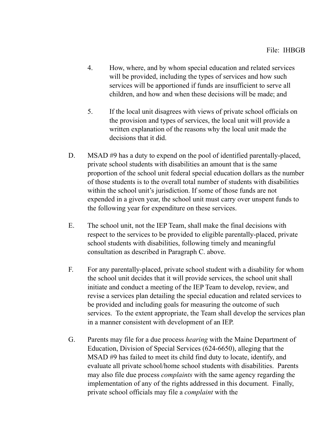- 4. How, where, and by whom special education and related services will be provided, including the types of services and how such services will be apportioned if funds are insufficient to serve all children, and how and when these decisions will be made; and
- 5. If the local unit disagrees with views of private school officials on the provision and types of services, the local unit will provide a written explanation of the reasons why the local unit made the decisions that it did.
- D. MSAD #9 has a duty to expend on the pool of identified parentally-placed, private school students with disabilities an amount that is the same proportion of the school unit federal special education dollars as the number of those students is to the overall total number of students with disabilities within the school unit's jurisdiction. If some of those funds are not expended in a given year, the school unit must carry over unspent funds to the following year for expenditure on these services.
- E. The school unit, not the IEP Team, shall make the final decisions with respect to the services to be provided to eligible parentally-placed, private school students with disabilities, following timely and meaningful consultation as described in Paragraph C. above.
- F. For any parentally-placed, private school student with a disability for whom the school unit decides that it will provide services, the school unit shall initiate and conduct a meeting of the IEP Team to develop, review, and revise a services plan detailing the special education and related services to be provided and including goals for measuring the outcome of such services. To the extent appropriate, the Team shall develop the services plan in a manner consistent with development of an IEP.
- G. Parents may file for a due process *hearing* with the Maine Department of Education, Division of Special Services (624-6650), alleging that the MSAD #9 has failed to meet its child find duty to locate, identify, and evaluate all private school/home school students with disabilities. Parents may also file due process *complaints* with the same agency regarding the implementation of any of the rights addressed in this document. Finally, private school officials may file a *complaint* with the